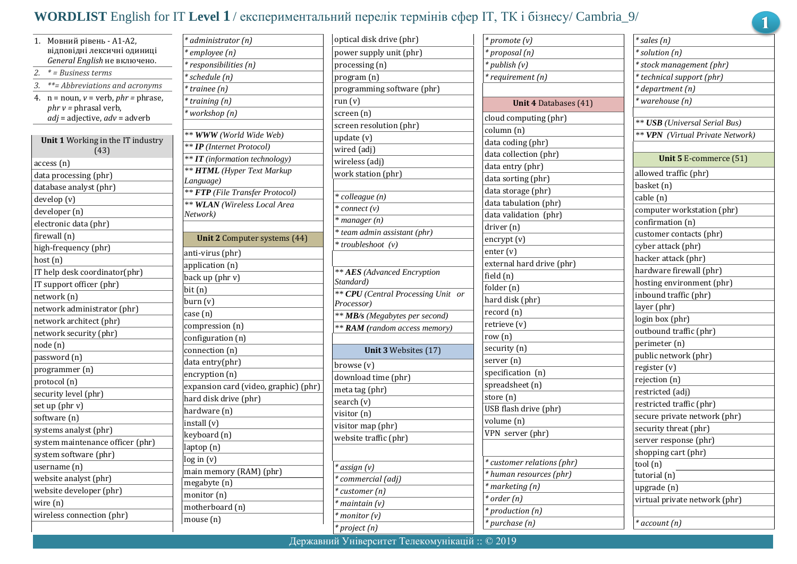## **WORDLIST** English for IT **Level 1** / експериментальний перелік термінів сфер IТ, ТК і бізнесу/ Cambria\_9/

| 1.                       | Мовний рівень - А1-А2,                      | $\ast$ c                |  |  |
|--------------------------|---------------------------------------------|-------------------------|--|--|
|                          | відповідні лексичні одиниці                 | $\bar{\ast}_{\epsilon}$ |  |  |
|                          | <i>General English не включено.</i>         | $*$ r                   |  |  |
| 2.                       | * = Business terms                          | $*_{S}$                 |  |  |
| 3.                       | **= Abbreviations and acronyms              | $*$ t                   |  |  |
| 4.                       | $n =$ noun, $v =$ verb, $phr =$ phrase,     | $*$ t                   |  |  |
|                          | $phr v = phrasal verb,$                     | $*_{\mathcal{V}}$       |  |  |
|                          | <i>adj =</i> adjective, <i>adv</i> = adverb |                         |  |  |
|                          | Unit 1 Working in the IT industry<br>(43)   | **<br>$\ast$ $\ast$     |  |  |
|                          | access (n)                                  | **                      |  |  |
|                          | data processing (phr)                       | $**$                    |  |  |
|                          | database analyst (phr)                      | La                      |  |  |
|                          | develop (v)                                 | $\ast$ $\ast$<br>**     |  |  |
| developer (n)            |                                             |                         |  |  |
|                          | electronic data (phr)                       | Nε                      |  |  |
|                          | firewall (n)                                |                         |  |  |
|                          | high-frequency (phr)                        |                         |  |  |
| host (n)                 |                                             | an                      |  |  |
|                          | IT help desk coordinator(phr)               | аp<br>ba                |  |  |
| IT support officer (phr) |                                             |                         |  |  |
| network (n)              |                                             |                         |  |  |
|                          | network administrator (phr)                 | bυ                      |  |  |
|                          | network architect (phr)                     | ca                      |  |  |
|                          | network security (phr)                      | co                      |  |  |
| node (n)                 |                                             | co                      |  |  |
|                          | password (n)                                | co                      |  |  |
|                          | programmer (n)                              | da                      |  |  |
|                          | protocol (n)                                | en                      |  |  |
|                          | security level (phr)                        | ex                      |  |  |
|                          | set up (phr v)                              | ha                      |  |  |
|                          | software (n)                                | ha                      |  |  |
|                          | systems analyst (phr)                       | in.                     |  |  |
|                          | system maintenance officer (phr)            | ke                      |  |  |
|                          | system software (phr)                       | laj                     |  |  |
|                          | username (n)                                | lo;                     |  |  |
|                          | website analyst (phr)                       | m                       |  |  |
|                          | website developer (phr)                     | m                       |  |  |
| wire (n)                 |                                             | m                       |  |  |
|                          | wireless connection (phr)                   | m<br>m.                 |  |  |

| * administrator (n)                   |
|---------------------------------------|
| * employee (n)                        |
| * responsibilities (n)                |
| * schedule (n)                        |
| * trainee (n)                         |
| * training (n)                        |
| * workshop (n)                        |
|                                       |
| ** WWW (World Wide Web)               |
| ** IP (Internet Protocol)             |
| ** IT (information technology)        |
| ** HTML (Hyper Text Markup            |
| Language)                             |
| ** FTP (File Transfer Protocol)       |
| ** WLAN (Wireless Local Area          |
| Network)                              |
|                                       |
| <b>Unit 2</b> Computer systems (44)   |
| anti-virus (phr)                      |
| application (n)                       |
| back up (phr v)                       |
| bit (n)                               |
| burn (v)                              |
| case (n)                              |
| compression (n)                       |
| configuration (n)                     |
| connection (n)                        |
| data entry(phr)                       |
| encryption (n)                        |
| expansion card (video, graphic) (phr) |
| hard disk drive (phr)                 |
| hardware (n)                          |
| install (v)                           |
| keyboard (n)                          |
| laptop (n)                            |
| log in (v)                            |
| main memory (RAM) (phr)               |
| megabyte (n)                          |
| monitor (n)                           |
| motherboard (n)                       |
| mouse (n)                             |
|                                       |

| optical disk drive (phr)                 |  |
|------------------------------------------|--|
| power supply unit (phr)                  |  |
| processing (n)                           |  |
| program (n)                              |  |
| programming software (phr)               |  |
| run (v)                                  |  |
| screen (n)                               |  |
| screen resolution (phr)                  |  |
| update (v)                               |  |
| wired (adj)                              |  |
| wireless (adj)                           |  |
| work station (phr)                       |  |
| * colleague (n)                          |  |
| * connect (v)                            |  |
| $*$ manager $(n)$                        |  |
| * team admin assistant (phr)             |  |
| * troubleshoot (v)                       |  |
|                                          |  |
| ** AES (Advanced Encryption<br>Standard) |  |
| ** CPU (Central Processing Unit or       |  |
| Processor)                               |  |
| ** <b>MB</b> /s (Megabytes per second)   |  |
| <b>** RAM</b> (random access memory)     |  |
| Unit 3 Websites (17)                     |  |
| browse (v)                               |  |
| download time (phr)                      |  |
| meta tag (phr)                           |  |
| search $(v)$                             |  |
| visitor (n)                              |  |
| visitor map (phr)                        |  |
| website traffic (phr)                    |  |
|                                          |  |
| * assign (v)                             |  |
| * commercial (adj)                       |  |
| * customer (n)                           |  |
| * maintain (v)                           |  |
|                                          |  |
| * monitor (v)                            |  |

| * promote (v)                |
|------------------------------|
| * proposal (n)               |
| * publish (v)                |
| * requirement (n)            |
|                              |
| <b>Unit 4 Databases (41)</b> |
| cloud computing (phr)        |
| column (n)                   |
| data coding (phr)            |
| data collection (phr)        |
| data entry (phr)             |
| data sorting (phr)           |
| data storage (phr)           |
| data tabulation (phr)        |
| data validation (phr)        |
| driver (n)                   |
| encrypt (v)                  |
| enter (v)                    |
| external hard drive (phr)    |
| field (n)                    |
| folder (n)                   |
| hard disk (phr)              |
| record (n)                   |
| retrieve (v)                 |
| row (n)                      |
| security (n)                 |
| server (n)                   |
| specification (n)            |
| spreadsheet (n)              |
| store (n)                    |
| USB flash drive (phr)        |
| volume (n)                   |
| VPN server (phr)             |
|                              |
| * customer relations (phr)   |
| * human resources (phr)      |
| * marketing (n)              |
| $*$ order $(n)$              |
| * production (n)             |
| * purchase (n)               |

|          | * sales (n)                             |
|----------|-----------------------------------------|
|          | * solution (n)                          |
|          | * stock management (phr)                |
|          | * technical support (phr)               |
|          | * department (n)                        |
|          | * warehouse (n)                         |
|          |                                         |
|          | ** USB (Universal Serial Bus)           |
|          | <b>** VPN</b> (Virtual Private Network) |
|          |                                         |
|          | Unit 5 E-commerce (51)                  |
|          | allowed traffic (phr)                   |
|          | basket (n)                              |
|          | cable (n)                               |
|          | computer workstation (phr)              |
|          | confirmation (n)                        |
|          | customer contacts (phr)                 |
|          | cyber attack (phr)                      |
|          | hacker attack (phr)                     |
|          | hardware firewall (phr)                 |
|          | hosting environment (phr)               |
|          | inbound traffic (phr)                   |
|          | layer (phr)                             |
|          | login box (phr)                         |
|          | outbound traffic (phr)                  |
|          | perimeter (n)                           |
|          | public network (phr)                    |
|          | register (v)                            |
|          | rejection (n)                           |
|          | restricted (adj)                        |
|          | restricted traffic (phr)                |
|          | secure private network (phr)            |
|          | security threat (phr)                   |
|          | server response (phr)                   |
|          | shopping cart (phr)                     |
| tool (n) |                                         |
|          | tutorial (n)                            |
|          | upgrade (n)                             |
|          | virtual private network (phr)           |
|          |                                         |
|          | * account (n)                           |